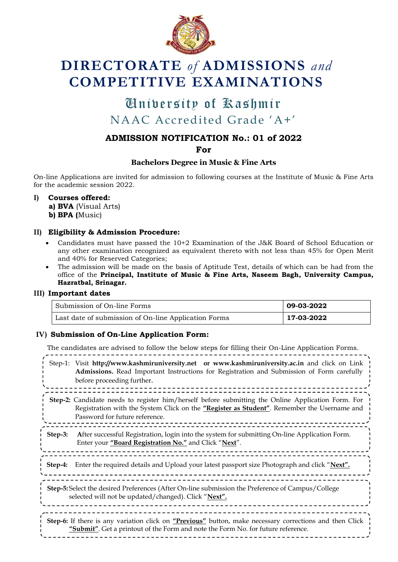

# **DIRECTORATE** *of* **ADMISSIONS** *and* **COMPETITIVE EXAMINATIONS**

## University of Kashmir University of KashmirNAAC Accredited Grade "A+"

### **ADMISSION NOTIFICATION No.: 01 of 2022**

**For**

#### **Bachelors Degree in Music & Fine Arts**

On-line Applications are invited for admission to following courses at the Institute of Music & Fine Arts for the academic session 2022.

**I) Courses offered:**

**a) BVA** (Visual Arts) **b) BPA (**Music)

#### **II) Eligibility & Admission Procedure:**

- Candidates must have passed the 10+2 Examination of the J&K Board of School Education or any other examination recognized as equivalent thereto with not less than 45% for Open Merit and 40% for Reserved Categories;
- The admission will be made on the basis of Aptitude Test, details of which can be had from the office of the **Principal, Institute of Music & Fine Arts, Naseem Bagh, University Campus, Hazratbal, Srinagar.**

#### **III) Important dates**

| Submission of On-line Forms                          | 09-03-2022 |
|------------------------------------------------------|------------|
| Last date of submission of On-line Application Forms | 17-03-2022 |

#### **IV) Submission of On-Line Application Form:**

The candidates are advised to follow the below steps for filling their On-Line Application Forms. Step-1: Visit **[http://www.kashmiruniversity.net](http://www.kashmiruniversity.net/) or [www.kashmiruniversity.ac.in](http://www.kashmiruniversity.ac.in/)** and click on Link **Admissions.** Read Important Instructions for Registration and Submission of Form carefully before proceeding further. <u>=======</u> **Step-2:** Candidate needs to register him/herself before submitting the Online Application Form. For Registration with the System Click on the **"Register as Student"**. Remember the Username and Password for future reference. **Step-3: A**fter successful Registration, login into the system for submitting On-line Application Form. Enter your **"Board Registration No."** and Click "**Next**". **Step-4:** Enter the required details and Upload your latest passport size Photograph and click "**Next". Step-5:** Select the desired Preferences (After On-line submission the Preference of Campus/College selected will not be updated/changed). Click "**Next".** \_\_\_\_\_\_\_\_\_\_\_\_\_\_\_\_\_\_\_\_ **Step-6:** If there is any variation click on **"Previous"** button, make necessary corrections and then Click **"Submit"**. Get a printout of the Form and note the Form No. for future reference.